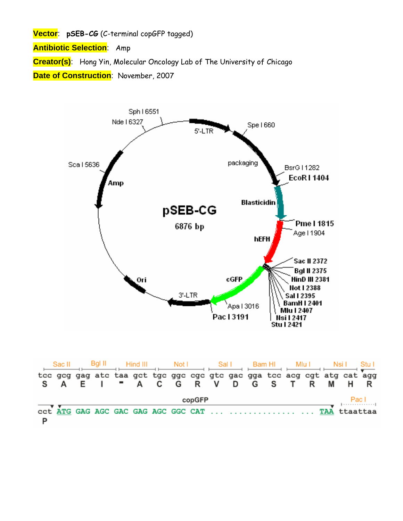**Vector**: **pSEB-CG** (C-terminal copGFP tagged)

**Antibiotic Selection**: Amp

**Creator(s)**: Hong Yin, Molecular Oncology Lab of The University of Chicago

**Date of Construction**: November, 2007



|  |  | Sac II Bgl II Hind III Not I Sall Bam HI Miu I Nsi I Stu I                                                     |  |        |  |  |  |  |       |
|--|--|----------------------------------------------------------------------------------------------------------------|--|--------|--|--|--|--|-------|
|  |  | tee geg gag ate taa get tge gge ege gte gae gga tee aeg egt atg eat agg<br>S A E I " A C G R V D G S T R M H R |  |        |  |  |  |  |       |
|  |  |                                                                                                                |  | copGFP |  |  |  |  | Pac I |
|  |  | cct ATG GAG AGC GAC GAG AGC GGC CAT   TAA ttaattaa                                                             |  |        |  |  |  |  |       |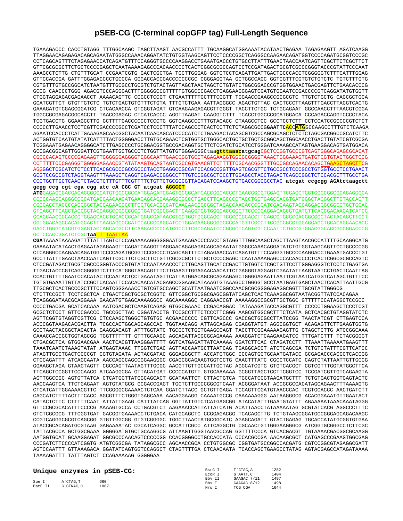## **pSEB-CG (C-terminal copGFP tag) Full-Length Sequence**

TGAAAGACCC CACCTGTAGG TTTGGCAAGC TAGCTTAAGT AACGCCATTT TGCAAGGCATGGAAAATACATAACTGAGAA TAGAGAAGTT AGATCAAGG TTAGGAACAGAGAGACAGCAGAATATGGGCCAAACAGGATATCTGTGGTAAGCAGTTCCTCCCCGGCTCAGGGCCAAGAACAGATGGTCCCCAGATGCGGTCCCGC CCTCAGCAGTTTCTAGAGAACCATCAGATGTTTCCAGGGTGCCCCAAGGACCTGAAATGACCCTGTGCCTTATTTGAACTAACCAATCAGTTCGCTTCTCGCTTCT GTTCGCGCGCTTCTGCTCCCCGAGCTCAATAAAAGAGCCCACAACCCCTCACTCGGCGCGCCAGTCCTCCGATAGACTGCGTCGCCCGGGTACCCGTATTCCCAAT AAAGCCTCTTG CTGTTTGCAT CCGAATCGTG GACTCGCTGA TCCTTGGGAG GGTCTCCTCAGATTGATTGACTGCCCACCTCGGGGGTCTTTCATTTGGAG GTTCCACCGA GATTTGGAGACCCCTGCCCA GGGACCACCGACCCCCCCGC CGGGAGGTAA GCTGGCCAGC GGTCGTTTCGTGTCTGTCTC TGTCTTTGTG CGTGTTTGTGCCGGCATCTAATGTTTGCGCCTGCGTCTGTACTAGTTAGCTAACTAGCTCTGTATCTGGCGGACCCGTGGTGGAACTGACGAGTTCTGAACACCCG GCCG CAACCCTGGG AGACGTCCCAGGGACTTTGGGGGCCGTTTTTGTGGCCCGACCTGAGGAAGGGAGTCGATGTGGAATCCGACCCCGTCAGGATATGTGGTT CTGGTAGGAGACGAGAACCT AAAACAGTTC CCGCCTCCGT CTGAATTTTTGCTTTCGGTT TGGAACCGAAGCCGCGCGTC TTGTCTGCTG CAGCGCTGCA GCATCGTTCT GTGTTGTCTC TGTCTGACTGTGTTTCTGTA TTTGTCTGAA AATTAGGGCC AGACTGTTAC CACTCCCTTAAGTTTGACCTTAGGTCACTG GAAAGATGTCGAGCGGATCG CTCACAACCA GTCGGTAGAT GTCAAGAAGAGACGTTGGGT TACCTTCTGC TCTGCAGAAT GGCCAACCTTTAACGTCGGA TGGCCGCGAGACGGCACCTT TAACCGAGAC CTCATCACCC AGGTTAAGAT CAAGGTCTTT TCACCTGGCCCGCATGGACA CCCAGACCAGGTCCCCTACA TCGTGACCTG GGAAGCCTTG GCTTTTGACCCCCCTCCCTG GGTCAAGCCCTTTGTACACC CTAAGCCTCC GCCTCCTCTT CCTCCATCCGCCCCGTCTCT CCCCCTTGAACCTCCTCGTTCGACCCCGCCTCGATCCTCCCTTTATCCAGCCCTCACTCCTTCTCTAGGCGCCG**GAATTC**ACCATGGCCAAGCCTTTGTCTCAAGA AGAATCCACCCTCATTGAAAGAGCAACGGCTACAATCAACAGCATCCCCATCTCTGAAGACTACAGCGTCGCCAGCGCAGCTCTCTCTAGCGACGGCCGCATCTTC ACTGGTGTCAATGTATATCATTTTACTGGGGGACCTTGTGCAGAACTCGTGGTGCTGGGCACTGCTGCTGCTGCGGCAGCTGGCAACCTGACTTGTATCGTCGCGA TCGGAAATGAGAACAGGGGCATCTTGAGCCCCTGCGGACGGTGCCGACAGGTGCTTCTCGATCTGCATCCTGGGATCAAAGCCATAGTGAAGGACAGTGATGGACA GCCGACGGCAGTTGGGATTCGTGAATTGCTGCCCTCTGGTTATGTGTGGGAGGGCtaa**gtttaaacatgcag**CGCTCCGGTGCCCGTCAGTGGGCAGAGCGCACAT CGCCCACAGTCCCCGAGAAGTTGGGGGGAGGGGTCGGCAATTGAACCGGTGCCTAGAGAAGGTGGCGCGGGGTAAACTGGGAAAGTGATGTCGTGTACTGGCTCCG CCTTTTTCCCGAGGGTGGGGGAGAACCGTATATAAGTGCAGTAGTCGCCGTGAACGTTCTTTTTCGCAACGGGTTTGCCGCCAGAACACAGCTGAAGCTAGCTTCG AGGGGCTCGCATCTCTCCTTCACGCGCCCGCCGCCCTACCTGAGGCCGCCATCCACGCCGGTTGAGTCGCGTTCTGCCGCCTCCCGCCTGTGGTGCCTCCTGAACT GCGTCCGCCGTCTAGGTAAGTTTAAAGCTCAGGTCGAGACCGGGCCTTTGTCCGGCGCTCCCTTGGAGCCTACCTAGACTCAGCCGGCTCTCCACGCTTTGCCTGA CCCTGCTTGCTCAACTCTACGTCTTTGTTTCGTTTTCTGTTCTGCGCCGTTACAGATCCAAGCTGTGACCGGCGCCTAC **atcgat ccgcgg AGAtctaagctt**

## **gcgg ccg cgt cga cgg atc cA CGC GT atgcat AGGCCT**

**ATG**GAGAGCGACGAGAGCGGCCATGTGCCCGCCATGGAGATCGAGTGCCGCATCACCGGCACCCTGAACGGCGTGGAGTTCGAGCTGGTGGGCGGCGGAGAGGGCA CCCCCAAGCAGGGCCGCATGACCAACAAGATGAAGAGCACCAAAGGCGCCCTGACCTTCAGCCCCTACCTGCTGAGCCACGTGATGGGCTACGGCTTCTACCACTT CGGCACCTACCCCAGCGGCTACGAGAACCCCTTCCTGCACGCCATCAACAACGGCGGCTACACCAACACCCGCATCGAGAAGTACGAGGACGGCGGCGTGCTGCAC GTGAGCTTCAGCTACCGCTACGAGGCCGGCCGCGTGATCGGCGACTTCAAGGTGGTGGGCACCGGCTTCCCCGAGGACAGCGTGATCTTCACCGACAAGATCATCC GCAGCAACGCCACCGTGGAGCACCTGCACCCCATGGGCGATAACGTGCTGGTGGGCAGCTTCGCCCGCACCTTCAGCCTGCGCGACGGCGGCTACTACAGCTTCGT GGTGGACAGCCACATGCACTTCAAGAGCGCCATCCACCCCAGCATCCTGCAGAACGGGGGCCCCATGTTCGCCTTCCGCCGCGTGGAGGAGCTGCACAGCAACACC GAGCTGGGCATCGTGGAGTACCAGCACGCCTTCAAGACCCCCATCGCCTTCGCCAGATCCCGCGCTCAGTCGTCCAATTCTGCCGTGGACGGCACCGCCGGACCCG GCTCCACCGGATCTCGC**TAA** T TAATTAA

**CGAT**AAAATAAAAGATTTTATTTAGTCTCCAGAAAAAGGGGGGAATGAAAGACCCCACCTGTAGGTTTGGCAAGCTAGCTTAAGTAACGCCATTTTGCAAGGCATG GAAAATACATAACTGAGAATAGAGAAGTTCAGATCAAGGTTAGGAACAGAGAGACAGCAGAATATGGGCCAAACAGGATATCTGTGGTAAGCAGTTCCTGCCCCGG CTCAGGGCCAAGAACAGATGGTCCCCAGATGCGGTCCCGCCCTCAGCAGTTTCTAGAGAACCATCAGATGTTTCCAGGGTGCCCCAAGGACCTGAAATGACCCTGT GCCTTATTTGAACTAACCAATCAGTTCGCTTCTCGCTTCTGTTCGCGCGCTTCTGCTCCCCGAGCTCAATAAAAGAGCCCACAACCCCTCACTCGGCGCGCCAGTC CTCCGATAGACTGCGTCGCCCGGGTACCCGTGTATCCAATAAACCCTCTTGCAGTTGCATCCGACTTGTGGTCTCGCTGTTCCTTGGGAGGGTCTCCTCTGAGTGA TTGACTACCCGTCAGCGGGGGTCTTTCATGGGTAACAGTTTCTTGAAGTTGGAGAACAACATTCTGAGGGTAGGAGTCGAATATTAAGTAATCCTGACTCAATTAG CCACTGTTTTGAATCCACATACTCCAATACTCCTGAAATAGTTCATTATGGACAGCGCAGAAGAGCTGGGGAGAATTAATTCGTAATCATGGTCATAGCTGTTTCC TGTGTGAAATTGTTATCCGCTCACAATTCCACACAACATACGAGCCGGAAGCATAAAGTGTAAAGCCTGGGGTGCCTAATGAGTGAGCTAACTCACATTAATTGCG TTGCGCTCACTGCCCGCTTTCCAGTCGGGAAACCTGTCGTGCCAGCTGCATTAATGAATCGGCCAACGCGCGGGGAGAGGCGGTTTGCGTATTGGGCG CTCTTCCGCT TCCTCGCTCA CTGACTCGCTGCGCTCGGTC GTTCGGCTGCGGCGAGCGGTATCAGCTCACTCAAAGGCGGTAATACGGTTATCCACAGAA TCAGGGGATAACGCAGGAAA GAACATGTGAGCAAAAGGCC AGCAAAAGGC CAGGAACCGT AAAAAGGCCGCGTTGCTGGC GTTTTTCCATAGGCTCCGCC CCCCTGACGA GCATCACAAA AATCGACGCTCAAGTCAGAG GTGGCGAAAC CCGACAGGAC TATAAAGATACCAGGCGTTT CCCCCTGGAAGCTCCCTCGT GCGCTCTCCT GTTCCGACCC TGCCGCTTAC CGGATACCTG TCCGCCTTTCTCCCTTCGGG AAGCGTGGCGCTTTCTCATA GCTCACGCTGTAGGTATCTC AGTTCGGTGTAGGTCGTTCG CTCCAAGCTGGGCTGTGTGC ACGAACCCCC CGTTCAGCCC GACCGCTGCGCCTTATCCGG TAACTATCGT CTTGAGTCCA ACCCGGTAAGACACGACTTA TCGCCACTGGCAGCAGCCAC TGGTAACAGG ATTAGCAGAG CGAGGTATGT AGGCGGTGCT ACAGAGTTCTTGAAGTGGTG GCCTAACTACGGCTACACTA GAAGGACAGT ATTTGGTATC TGCGCTCTGCTGAAGCCAGT TACCTTCGGAAAAAGAGTTG GTAGCTCTTG ATCCGGCAAA CAAACCACCGCTGGTAGCGG TGGTTTTTTT GTTTGCAAGC AGCAGATTACGCGCAGAAAA AAAGGATCTCAAGAAGATCC TTTGATCTTT TCTACGGGGT CTGACGCTCA GTGGAACGAA AACTCACGTTAAGGGATTTT GGTCATGAGATTATCAAAAA GGATCTTCAC CTAGATCCTT TTAAATTAAAAATGAAGTTT TAAATCAATCTAAAGTATAT ATGAGTAAAC TTGGTCTGAC AGTTACCAATGCTTAATCAG TGAGGCACCT ATCTCAGCGA TCTGTCTATTTCGTTCATCC ATAGTTGCCTGACTCCCCGT CGTGTAGATA ACTACGATAC GGGAGGGCTT ACCATCTGGC CCCAGTGCTGCAATGATACC GCGAGACCCACGCTCACCGG CTCCAGATTT ATCAGCAATA AACCAGCCAGCCGGAAGGGC CGAGCGCAGAAGTGGTCCTG CAACTTTATC CGCCTCCATC CAGTCTATTAATTGTTGCCG GGAAGCTAGA GTAAGTAGTT CGCCAGTTAATAGTTTGCGC AACGTTGTTGCCATTGCTAC AGGCATCGTG GTGTCACGCT CGTCGTTTGGTATGGCTTCA TTCAGCTCCGGTTCCCAACG ATCAAGGCGA GTTACATGAT CCCCCATGTT GTGCAAAAAA GCGGTTAGCTCCTTCGGTCC TCCGATCGTTGTCAGAAGTA AGTTGGCCGC AGTGTTATCA CTCATGGTTATGGCAGCACT GCATAATTCT CTTACTGTCA TGCCATCCGTAAGATGCTTT TCTGTGACTGGTGAGTACTC AACCAAGTCA TTCTGAGAAT AGTGTATGCG GCGACCGAGT TGCTCTTGCCCGGCGTCAAT ACGGGATAAT ACCGCGCCACATAGCAGAACTTTAAAAGTG CTCATCATTGGAAAACGTTC TTCGGGGCGAAAACTCTCAA GGATCTTACC GCTGTTGAGA TCCAGTTCGATGTAACCCAC TCGTGCACCC AACTGATCTT CAGCATCTTTTACTTTCACC AGCGTTTCTGGGTGAGCAAA AACAGGAAGG CAAAATGCCG CAAAAAAGGG AATAAGGGCG ACACGGAAATGTTGAATACT CATACTCTTC CTTTTTCAAT ATTATTGAAG CATTTATCAG GGTTATTGTCTCATGAGCGG ATACATATTTGAATGTATTT AGAAAAATAAACAAATAGGG GTTCCGCGCACATTTCCCCG AAAAGTGCCA CCTGACGTCT AAGAAACCATTATTATCATG ACATTAACCTATAAAAATAG GCGTATCACG AGGCCCTTTC GTCTCGCGCG TTTCGGTGAT GACGGTGAAAACCTCTGACA CATGCAGCTC CCGGAGACGG TCACAGCTTG TCTGTAAGCGGATGCCGGGAGCAGACAAGC CCGTCAGGGCGCGTCAGCGG GTGTTGGCGG GTGTCGGGGC TGGCTTAACTATGCGGCATC AGAGCAGATT GTACTGAGAG TGCACCATATGCGGTGTGAA ATACCGCACAGATGCGTAAG GAGAAAATAC CGCATCAGGC GCCATTCGCC ATTCAGGCTG CGCAACTGTTGGGAAGGGCG ATCGGTGCGGGCCTCTTCGC TATTACGCCA GCTGGCGAAA GGGGGATGTGCTGCAAGGCG ATTAAGTTGGGTAACGCCAG GGTTTTCCCA GTCACGACGT TGTAAAACGACGGCGCAAGG AATGGTGCAT GCAAGGAGAT GGCGCCCAACAGTCCCCCGG CCACGGGGCCTGCCACCATA CCCACGCCGA AACAAGCGCT CATGAGCCCGAAGTGGCGAG CCCGATCTTCCCCATCGGTG ATGTCGGCGA TATAGGCGCC AGCAACCGCA CCTGTGGCGC CGGTGATGCCGGCCACGATG CGTCCGGCGTAGAGGCGATT AGTCCAATTT GTTAAAGACA GGATATCAGTGGTCCAGGCT CTAGTTTTGA CTCAACAATA TCACCAGCTGAAGCCTATAG AGTACGAGCCATAGATAAAA TAAAAGATTT TATTTAGTCT CCAGAAAAAG GGGGGAA

|         |           | Unique enzymes in pSEB-CG: | BsrG T | T`GTAC.A    | 1282 |
|---------|-----------|----------------------------|--------|-------------|------|
|         |           |                            | ECOR I | G`AATT.C    | 1404 |
|         |           |                            | Bby II | GAAGAC 7/11 | 1497 |
| Spe I   | A`CTAG.T  | 660                        | Bbs I  | GAAGAC 8/12 | 1498 |
| BstE II | G`GTNAC.C | 1087                       | Nru I  | TCG CGA     | 1644 |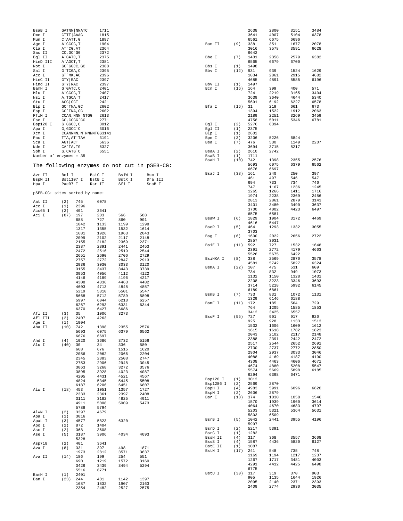| BsaB I                         |                         | GATNN NNATC            | 1711         |              |                                              |                 |             | 2638         | 2800         | 3151         | 3484         |
|--------------------------------|-------------------------|------------------------|--------------|--------------|----------------------------------------------|-----------------|-------------|--------------|--------------|--------------|--------------|
| Pme I                          | CTTT AAAC               |                        | 1815         |              |                                              |                 |             | 3641         | 4007         | 5104         | 6378         |
| Mun I                          | C`AATT, G               |                        | 1897         |              |                                              |                 |             | 6561         | 6675         | 6696         |              |
| Age I<br>Cla I                 | A CCGG, T<br>AT CG, AT  |                        | 1904<br>2364 |              |                                              | Ban II          | (9)         | 338<br>3016  | 351<br>3578  | 1677<br>3591 | 2078<br>6628 |
| Sac II                         | CC, GC `GG              |                        | 2372         |              |                                              |                 |             | 6642         |              |              |              |
| Bgl II                         | A GATC, T               |                        | 2375         |              |                                              | Bbe I           | (7)         | 1401         | 2358         | 2579         | 6382         |
| HinD III                       | A`AGCT, T               |                        | 2381         |              |                                              |                 |             | 6565         | 6679         | 6700         |              |
| Not I                          | GC 'GGCC, GC            |                        | 2388         |              |                                              | Bbs I           | (1)         | 1498         |              |              |              |
| Sal I                          | G`TCGA, C               |                        | 2395         |              |                                              | Bbv I           | (12)        | 931          | 939          | 1524         | 1629         |
| Acc I                          | GT `MK, AC              |                        | 2396         |              |                                              |                 |             | 1834         | 2861         | 2915         | 4682         |
| HinC II                        | GTY RAC                 |                        | 2397         |              |                                              |                 |             | 4685         | 4891         | 5585         | 6196         |
| Hind II<br>BamH I              | $GTY$ RAC<br>G`GATC, C  |                        | 2397<br>2401 |              |                                              | Bby II<br>Bcn I | (1)<br>(16) | 1497<br>164  | 399          | 400          | 571          |
| Mlu I                          | A CGCG, T               |                        | 2407         |              |                                              |                 |             | 724          | 2219         | 3165         | 3404         |
| Nsi I                          | A, TGCA`T               |                        | 2417         |              |                                              |                 |             | 3639         | 3640         | 4644         | 5340         |
| Stu I                          | AGG CCT                 |                        | 2421         |              |                                              |                 |             | 5691         | 6192         | 6227         | 6578         |
| Blp I                          | GC `TNA, GC             |                        | 2602         |              |                                              | Bfa I           | (16)        | 31           | 219          | 661          | 673          |
| Esp I                          | GC TNA, GC              |                        | 2602         |              |                                              |                 |             | 1394         | 1522         | 1912         | 2063         |
| PflM I                         |                         | CCAN, NNN `NTGG        | 2613         |              |                                              |                 |             | 2189         | 2251         | 3269         | 3459         |
| Fse I                          | GG, CCGG 'CC            |                        | 2771         |              |                                              |                 |             | 4758         | 5011         | 5346         | 6781         |
| Bsp120 I<br>Apa I              | G`GGCC, C<br>G, GGCC `C |                        | 3012<br>3016 |              |                                              | Bgl I<br>Bgl II | (2)<br>(1)  | 5276<br>2375 | 6394         |              |              |
| Xcm I                          |                         | CCANNNN, N`NNNNTGG3141 |              |              |                                              | Blp I           | (1)         | 2602         |              |              |              |
| Pac I                          | TTA, AT`TAA             |                        | 3191         |              |                                              | Bpm I           | (3)         | 3206         | 5226         | 6844         |              |
| Sca I                          | AGT   ACT               |                        | 5636         |              |                                              | Bsa I           | (7)         | 476          | 530          | 1149         | 2207         |
| Nde I                          | CA`TA, TG               |                        | 6327         |              |                                              |                 |             | 3694         | 3715         | 5217         |              |
| Sph I                          | G, CATG C               |                        | 6551         |              |                                              | BsaA I          | (2)         | 2610         | 2742         |              |              |
| Number of enzymes = 35         |                         |                        |              |              |                                              | BsaB I          | (1)         | 1711         |              |              |              |
|                                |                         |                        |              |              |                                              | BsaH I          | (10)        | 742          | 1398         | 2355         | 2576         |
|                                |                         |                        |              |              | The following enzymes do not cut in pSEB-CG: |                 |             | 5693         | 6075         | 6379         | 6562         |
|                                |                         |                        |              |              |                                              |                 |             | 6676         | 6697         |              |              |
| Avr II                         | Bcl I                   |                        | BsiC I       | BsiW I       | Bsm I                                        | BsaJ I          | (38)        | 161<br>461   | 240<br>497   | 250<br>546   | 397<br>547   |
| BspM II                        | Bst1107 I               |                        | BstB I       | BstX I       | Dra III                                      |                 |             | 694          | 733          | 734          | 746          |
| Hpa I                          | PaeR7 I                 |                        | Rsr II       | Sfi I        | SnaB I                                       |                 |             | 747          | 1167         | 1236         | 1245         |
|                                |                         |                        |              |              |                                              |                 |             | 1265         | 1266         | 1411         | 1716         |
| pSEB-CG: sites sorted by name: |                         |                        |              |              |                                              |                 |             | 1974         | 2238         | 2369         | 2456         |
| Aat II                         | (2)                     | 745                    | 6078         |              |                                              |                 |             | 2813         | 2861         | 2879         | 3143         |
| Acc I                          | (1)                     | 2396                   |              |              |                                              |                 |             | 3401         | 3480         | 3490         | 3637         |
| Acc65 I                        | (2)                     | 401                    | 3641         |              |                                              |                 |             | 3700         | 4002         | 4423         | 6497         |
| Aci I                          | $(87)$ 197              |                        | 203          | 566          | 588                                          |                 |             | 6575         | 6581         |              |              |
|                                |                         | 688                    | 727          | 860          | 901                                          | BsaW I          | (6)         | 1829         | 1904         | 3172         | 4469         |
|                                |                         | 1042                   | 1133         | 1199         | 1298                                         |                 |             | 4616         | 5447         |              |              |
|                                |                         | 1317                   | 1355         | 1532         | 1614                                         | BseR I          | (5)         | 464          | 1293         | 1332         | 3055         |
|                                |                         | 1681                   | 1926         | 1963         | 2043                                         |                 |             | 3703         |              |              |              |
|                                |                         | 2099                   | 2102         | 2117         | 2148                                         | Bsg I           | (6)         | 1600<br>2857 | 2022<br>3031 | 2656         | 2722         |
|                                |                         | 2155                   | 2182         | 2369         | 2371                                         | BsiE I          | (11)        | 592          | 727          | 1532         | 1648         |
|                                |                         | 2387                   | 2391         | 2441         | 2453                                         |                 |             | 2391         | 2772         | 4179         | 4603         |
|                                |                         | 2472                   | 2516         | 2519         | 2544                                         |                 |             | 5526         | 5675         | 6422         |              |
|                                |                         | 2651<br>2757           | 2690         | 2706         | 2729                                         | BsiHKA I        | (8)         | 338          | 2569         | 2870         | 3578         |
|                                |                         | 2936                   | 2772<br>3030 | 2847<br>3033 | 2913<br>3120                                 |                 |             | 4581         | 5742         | 5827         | 6324         |
|                                |                         | 3155                   | 3437         | 3443         | 3739                                         | BsmA I          | (22)        | 107          | 475          | 531          | 609          |
|                                |                         | 3953                   | 4056         | 4112         | 4122                                         |                 |             | 734          | 832          | 949          | 1073         |
|                                |                         | 4146                   | 4189         | 4196         | 4217                                         |                 |             | 1132         | 1150         | 1328         | 1431         |
|                                |                         | 4308                   | 4336         | 4463         | 4482                                         |                 |             | 2208         | 3223         | 3346         | 3693         |
|                                |                         | 4603                   | 4713         | 4848         | 4857                                         |                 |             | 3714         | 5218         | 5992         | 6145         |
|                                |                         | 5219                   | 5310         | 5501         | 5547                                         |                 |             | 6189         | 6861         |              |              |
|                                |                         | 5668                   | 5712         | 5789         | 5898                                         | BsmB I          | (7)         | 733          | 831          | 1072         | 1131         |
|                                |                         | 5997                   | 6044         | 6218         | 6257                                         | BsmF I          | (11)        | 1329<br>172  | 6146<br>185  | 6188<br>564  | 729          |
|                                |                         | 6267                   | 6293         | 6331         | 6344                                         |                 |             | 764          | 1205         | 1585         | 1853         |
|                                |                         | 6370                   | 6427         | 6686         |                                              |                 |             | 3412         | 3425         | 6557         |              |
| Afl II<br>Afl III              | (3)<br>(2)              | 35<br>2407             | 1006<br>4263 | 3273         |                                              | BsoF I          | (55)        | 727          | 901          | 917          | 920          |
| Age I                          | (1)                     | 1904                   |              |              |                                              |                 |             | 925          | 928          | 1133         | 1513         |
| Aha II                         | $(10)$ 742              |                        | 1398         | 2355         | 2576                                         |                 |             | 1532         | 1606         | 1609         | 1612         |
|                                |                         | 5693                   | 6075         | 6379         | 6562                                         |                 |             | 1615         | 1618         | 1782         | 1823         |
|                                |                         | 6676                   | 6697         |              |                                              |                 |             | 2043         | 2102         | 2117         | 2148         |
| Ahd I                          | (4)                     | 1020                   | 3686         | 3732         | 5156                                         |                 |             | 2388         | 2391         | 2442         | 2472         |
| Alu I                          | $(40)$ 30               |                        | 34           | 336          | 580                                          |                 |             | 2517         | 2544         | 2652         | 2691         |
|                                |                         | 668                    | 676          | 1515         | 1620                                         |                 |             | 2730<br>2904 | 2737<br>2937 | 2772<br>3033 | 2850<br>3046 |
|                                |                         | 2056                   | 2062         | 2066         | 2204                                         |                 |             | 4088         | 4169         | 4187         | 4190         |
|                                |                         | 2345                   | 2383         | 2508         | 2747                                         |                 |             | 4308         | 4463         | 4606         | 4671         |
|                                |                         | 2753                   | 2906<br>3268 | 2948<br>3272 | 3045<br>3576                                 |                 |             | 4674         | 4880         | 5208         | 5547         |
|                                |                         | 3063<br>3895           | 3928         | 4023         | 4087                                         |                 |             | 5574         | 5669         | 5898         | 6185         |
|                                |                         | 4205                   | 4431         | 4521         | 4567                                         |                 |             | 6294         | 6398         | 6471         |              |
|                                |                         | 4824                   | 5345         | 5445         | 5508                                         | Bsp120 I        | (1)         | 3012         |              |              |              |
|                                |                         | 6187                   | 6206         | 6451         | 6807                                         | Bsp1286 I       | (2)         | 2569         | 2870         |              |              |
| Alw I                          | $(18)$ 453              |                        | 1051         | 1357         | 1727                                         | BspH I          | (4)         | 4983         | 5991         | 6096         | 6620         |
|                                |                         | 2333                   | 2361         | 2397         | 2408                                         | BspM I          | (2)         | 2606         | 2879         |              |              |
|                                |                         | 3111                   | 3182         | 4825         | 4911                                         | Bsr I           | (18)        | 374<br>1570  | 1030<br>1939 | 1058<br>1960 | 1546<br>3614 |
|                                |                         | 4911                   | 5008         | 5009         | 5473                                         |                 |             | 4064         | 4670         | 4683         | 4797         |
|                                |                         | 5788                   | 5794         |              |                                              |                 |             | 5203         | 5321         | 5364         | 5631         |
| AlwN I                         | (2)                     | 3397                   | 4679         |              |                                              |                 |             | 5803         | 6509         |              |              |
| Apa I                          | (1)                     | 3016                   |              | 6320         |                                              | BsrB I          | (5)         | 1042         | 2441         | 3955         | 4196         |
| ApaL I<br>Apo I                | (3)<br>(2)              | 4577<br>872            | 5823<br>1404 |              |                                              |                 |             | 5997         |              |              |              |
| Asc I                          | (2)                     | 368                    | 3608         |              |                                              | BsrD I          | (2)         | 5217         | 5391         |              |              |
| Ase I                          | (5)                     | 3187                   | 3906         | 4034         | 4093                                         | BsrG I          | (1)         | 1282         |              |              |              |
|                                |                         | 5328                   |              |              |                                              | BssH II         | (4)         | 317          | 368          | 3557         | 3608         |
| Asp718                         | (2)                     | 401                    | 3641         |              |                                              | BssS I          | (4)         | 1587         | 4436         | 5820         | 6127         |
| Ava I                          | (8)                     | 331                    | 397          | 498          | 1871                                         | BstE II         | (1)         | 1087         |              |              |              |
|                                |                         | 1973                   | 2812         | 3571         | 3637                                         | BstN I          | (17)        | 241          | 548          | 735          | 748          |
| Ava II                         | $(14)$ 186              |                        | 199          | 254          | 551                                          |                 |             | 1169         | 1194         | 1217         | 1237         |
|                                |                         | 690                    | 1219         | 1572         | 3160                                         |                 |             | 1267<br>4291 | 1717<br>4412 | 3481<br>4425 | 4003<br>6498 |
|                                |                         | 3426                   | 3439         | 3494         | 5294                                         |                 |             | 6775         |              |              |              |
|                                |                         | 5516                   | 6771         |              |                                              | BstU I          | (30)        | 317          | 319          | 370          | 903          |
| BamH I                         | (1)                     | 2401                   |              |              |                                              |                 |             | 905          | 1135         | 1644         | 1926         |
| Ban I                          | $(23)$ 244              | 1687                   | 401<br>1832  | 1142<br>1907 | 1397<br>2163                                 |                 |             | 2095         | 2140         | 2371         | 2393         |
|                                |                         | 2354                   | 2482         | 2527         | 2575                                         |                 |             | 2409         | 2774         | 2930         | 3035         |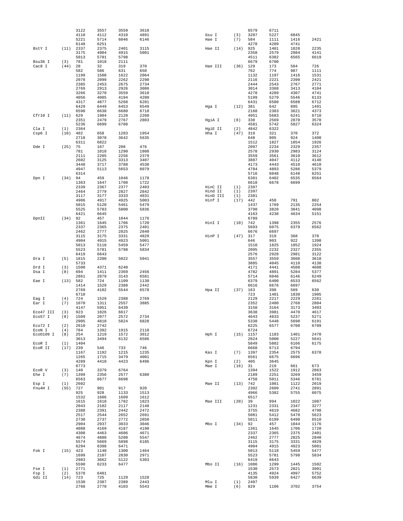|                     |                   | 3122         | 3557         | 3559         | 3610         |                    |             | 6579         | 6711         |              |              |
|---------------------|-------------------|--------------|--------------|--------------|--------------|--------------------|-------------|--------------|--------------|--------------|--------------|
|                     |                   | 4110         | 4112         | 4310         | 4891         | Gsu I              | (3)         | 3207         | 5227         | 6845         |              |
|                     |                   | 5221<br>6148 | 5714<br>6251 | 6046         | 6146         | Hae I              | (7)         | 584<br>4278  | 1111<br>4289 | 1416<br>4741 | 2421         |
| BstY I              | (11)              | 2337         | 2375         | 2401         | 3115         | Hae II             | (14)        | 925          | 1401         | 1828         | 2235         |
|                     |                   | 3175         | 4904         | 4915         | 5001         |                    |             | 2358         | 2579         | 2984         | 4141         |
|                     |                   | 5013         | 5781         | 5798         |              |                    |             | 4511         | 6382         | 6565         | 6619         |
| Bsu36 I             | (3)               | 781          | 1018         | 2111         |              |                    |             | 6679         | 6700         |              |              |
| Cac8 I              | (44)              | 28           | 32           | 319          | 370          | Hae III            | $(36)$ 129  |              | 173          | 584          | 726          |
|                     |                   | 582          | 586          | 631          | 650          |                    |             | 762          | 774          | 987          | 1111         |
|                     |                   | 1199         | 1508         | 1622         | 2064         |                    |             | 1132         | 1197         | 1416         | 1531         |
|                     |                   | 2078         | 2099         | 2262         | 2290         |                    |             | 2116         | 2221         | 2390         | 2421         |
|                     |                   | 2385         | 2453         | 2675         | 2734         |                    |             | 2444         | 2543         | 2767         | 2771         |
|                     |                   | 2769         | 2913         | 2926         | 3086         |                    |             | 3014         | 3368         | 3413         | 4104         |
|                     |                   | 3266         | 3270         | 3559         | 3610         |                    |             | 4278         | 4289         | 4307         | 4741         |
|                     |                   | 4056         | 4085         | 4194         | 4280         |                    |             | 5199         | 5279         | 5546         | 6133         |
|                     |                   | 4317         | 4877         | 5268         | 6281         |                    |             | 6431         | 6580         | 6588         | 6712         |
|                     |                   | 6429         | 6449         | 6453         | 6549         | Hqa I              | (12)        | 381          | 642          | 895          | 1491         |
| Cfr10 I             |                   | 6590         | 6638<br>1904 | 6680         | 6710<br>2260 |                    |             | 2168<br>4951 | 2383         | 3621<br>6241 | 4373<br>6710 |
|                     | (11)              | 629<br>2351  | 2479         | 2128<br>2767 | 2803         |                    | (8)         | 338          | 5683<br>2569 | 2870         | 3578         |
|                     |                   | 5236         | 6699         | 6708         |              | HgiA I             |             | 4581         | 5742         | 5827         | 6324         |
| Cla I               | (1)               | 2364         |              |              |              | HgiE II            | (2)         | 4842         | 6322         |              |              |
| Csp6 I              | (10)              | 402          | 658          | 1283         | 1954         | Hha I              | (47)        | 319          | 321          | 370          | 372          |
|                     |                   | 2718         | 3078         | 3642         | 5635         |                    |             | 648          | 905          | 924          | 1400         |
|                     |                   | 6311         | 6822         |              |              |                    |             | 1512         | 1827         | 1854         | 1926         |
| Dde I               | (25)              | 75           | 167          | 208          | 476          |                    |             | 2097         | 2234         | 2329         | 2357         |
|                     |                   | 781          | 1018         | 1290         | 1808         |                    |             | 2578         | 2930         | 2983         | 3124         |
|                     |                   | 2111         | 2205         | 2256         | 2379         |                    |             | 3559         | 3561         | 3610         | 3612         |
|                     |                   | 2602         | 3125         | 3313         | 3407         |                    |             | 3887         | 4047         | 4112         | 4140         |
|                     |                   | 3448         | 3717         | 3788         | 4538         |                    |             | 4173         | 4443         | 4510         | 4610         |
|                     |                   | 4947         | 5113         | 5653         | 6079         |                    |             | 4784         | 4893         | 5286         | 5379         |
|                     |                   | 6314         |              |              |              |                    |             | 5716         | 6048         | 6148         | 6251         |
| Dpn I               | (34)              | 94           | 459          | 1046         | 1178         |                    |             | 6381         | 6402         | 6535         | 6564         |
|                     |                   | 1363<br>2339 | 1647         | 1708         | 1722         |                    |             | 6618         | 6678         | 6699         |              |
|                     |                   | 2464         | 2367         | 2377         | 2403         | HinC II<br>Hind II | (1)         | 2397         |              |              |              |
|                     |                   | 3117         | 2779<br>3177 | 2827<br>3333 | 2842<br>4831 | HinD III           | (1)<br>(1)  | 2397<br>2381 |              |              |              |
|                     |                   | 4906         | 4917         | 4925         | 5003         | Hinf I             | (17)        | 442          | 450          | 791          | 802          |
|                     |                   | 5015         | 5120         | 5461         | 5479         |                    |             | 1437         | 1769         | 2135         | 2254         |
|                     |                   | 5525         | 5783         | 5800         | 5836         |                    |             | 3798         | 3820         | 3841         | 4098         |
|                     |                   | 6421         | 6645         |              |              |                    |             | 4163         | 4238         | 4634         | 5151         |
| DpnII               | (34)              | 92           | 457          | 1044         | 1176         |                    |             | 6789         |              |              |              |
|                     |                   | 1361         | 1645         | 1706         | 1720         | HinI I             | (10)        | 742          | 1398         | 2355         | 2576         |
|                     |                   | 2337         | 2365         | 2375         | 2401         |                    |             | 5693         | 6075         | 6379         | 6562         |
|                     |                   | 2462         | 2777         | 2825         | 2840         |                    |             | 6676         | 6697         |              |              |
|                     |                   | 3115         | 3175         | 3331         | 4829         | HinP I             | (47)        | 317          | 319          | 368          | 370          |
|                     |                   | 4904         | 4915         | 4923         | 5001         |                    |             | 646          | 903          | 922          | 1398         |
|                     |                   | 5013         | 5118         | 5459         | 5477         |                    |             | 1510         | 1825         | 1852         | 1924         |
|                     |                   | 5523         | 5781         | 5798         | 5834         |                    |             | 2095         | 2232         | 2327         | 2355         |
|                     |                   | 6419         | 6643         |              |              |                    |             | 2576         | 2928         | 2981         | 3122         |
| Dra I               | (5)               | 1815         | 2200         | 5022         | 5041         |                    |             | 3557         | 3559         | 3608         | 3610         |
| Drd I               | (3)               | 5733<br>1500 | 4371         | 6240         |              |                    |             | 3885<br>4171 | 4045<br>4441 | 4110<br>4508 | 4138<br>4608 |
| Dsa I               | (8)               | 694          | 1411         | 2369         | 2456         |                    |             | 4782         | 4891         | 5284         | 5377         |
|                     |                   | 2861         | 2879         | 3143         | 6581         |                    |             | 5714         | 6046         | 6146         | 6249         |
| Eae I               | (13)              | 582          | 724          | 1109         | 1130         |                    |             | 6379         | 6400         | 6533         | 6562         |
|                     |                   | 1414         | 1529         | 2388         | 2442         |                    |             | 6616         | 6676         | 6697         |              |
|                     |                   | 2769         | 4102         | 5544         | 6578         | Hpa II             | (37)        | 163          | 398          | 569          | 630          |
|                     |                   | 6710         |              |              |              |                    |             | 723          | 1401         | 1830         | 1905         |
| Eag I               | (4)               | 724          | 1529         | 2388         | 2769         |                    |             | 2129         | 2217         | 2229         | 2261         |
| Ear I               | (7)               | 1070         | 1311         | 2557         | 3885         |                    |             | 2352         | 2480         | 2768         | 2804         |
|                     |                   | 4147         | 5951         | 6439         |              |                    |             | 3158         | 3164         | 3173         | 3403         |
| Eco47 III           | (3)               | 923          | 1826         | 6617         |              |                    |             | 3638         | 3981         | 4470         | 4617         |
| Eco57 I             | (8)               | 1509         | 2077         | 2572         |              |                    |             |              |              |              | 5271         |
|                     |                   | 2905         |              |              | 2734         |                    |             | 4643         | 4833         | 5237         |              |
| Eco72 I             | (2)               |              | 4810         | 5824         | 6828         |                    |             | 5338         | 5448         | 5690         | 6191         |
| ECON I<br>Eco0109 I |                   | 2610         | 2742         |              |              |                    |             | 6225         | 6577         | 6700         | 6709         |
|                     | (4)               | 784          | 1392         | 1915         | 2110         |                    |             | 6724         |              |              |              |
|                     | (8)               | 254          | 1219         | 1572         | 3012         | Hph I              | $(15)$ 1157 |              | 1183         | 1401         | 2470         |
|                     |                   | 3013         | 3494         | 6132         | 6586         |                    |             | 2824         | 5000         | 5227         | 5641         |
| EcoR I<br>ECOR II   | (1)               | 1404         | 546          | 733          | 746          |                    |             | 5849         | 5882<br>6713 | 6166         | 6175         |
|                     | $(17)$ 239        | 1167         | 1192         | 1215         | 1235         | Kas I              | (7)         | 6668<br>1397 | 2354         | 6794<br>2575 | 6378         |
|                     |                   | 1265         | 1715         | 3479         | 4001         |                    |             | 6561         | 6675         | 6696         |              |
|                     |                   | 4289         | 4410         | 4423         | 6496         | Kpn I              | (2)         | 405          | 3645         |              |              |
|                     |                   | 6773         |              |              |              | Mae I              | (16) 31     |              | 219          | 661          | 673          |
| ECOR V              | (3)               | 140          | 3379         | 6764         |              |                    |             | 1394         | 1522         | 1912         | 2063         |
| Ehe I               | (7)               | 1399         | 2356         | 2577         | 6380         |                    |             | 2189         | 2251         | 3269         | 3459         |
|                     |                   | 6563         | 6677         | 6698         |              |                    |             | 4758         | 5011         | 5346         | 6781         |
| Esp I               | (1)               | 2602         |              |              |              | Mae II             | (13) 742    |              | 1081         | 1122         | 2019         |
| Fnu4H I             | $(55)$ 727        |              | 901          | 917          | 920          |                    |             | 2302         | 2609         | 2741         | 2891         |
|                     |                   | 925          | 928          | 1133         | 1513         |                    |             | 4966         | 5382         | 5755         | 6075         |
|                     |                   | 1532         | 1606         | 1609         | 1612         |                    |             | 6517         |              |              |              |
|                     |                   | 1615         | 1618         | 1782         | 1823         | Mae III            | $(20)$ 39   |              | 994          | 1022         | 1087         |
|                     |                   | 2043<br>2388 | 2102<br>2391 | 2117<br>2442 | 2148<br>2472 |                    |             | 1231<br>3755 | 2331<br>4619 | 2347<br>4682 | 3277<br>4798 |
|                     |                   | 2517         | 2544         | 2652         | 2691         |                    |             | 5081         | 5412         | 5470         | 5623         |
|                     |                   | 2730         | 2737         | 2772         | 2850         |                    |             | 5811         | 6199         | 6490         | 6510         |
|                     |                   | 2904         | 2937         | 3033         | 3046         | Mbo I              | (34) 92     |              | 457          | 1044         | 1176         |
|                     |                   | 4088         | 4169         | 4187         | 4190         |                    |             | 1361         | 1645         | 1706         | 1720         |
|                     |                   | 4308         | 4463         | 4606         | 4671         |                    |             | 2337         | 2365         | 2375         | 2401         |
|                     |                   | 4674         | 4880         | 5208         | 5547         |                    |             | 2462         | 2777         | 2825         | 2840         |
|                     |                   | 5574         | 5669         | 5898         | 6185         |                    |             | 3115         | 3175         | 3331         | 4829         |
|                     |                   | 6294         | 6398         | 6471         |              |                    |             | 4904         | 4915         | 4923         | 5001         |
| Fok I               | $(15)$ 423        |              | 1140         | 1300         | 1464         |                    |             | 5013         | 5118         | 5459         | 5477         |
|                     |                   | 1699         | 2107         | 2830         | 2971         |                    |             | 5523         | 5781         | 5798         | 5834         |
|                     |                   | 2983         | 3662         | 5122         | 5303         |                    |             | 6419         | 6643         |              |              |
|                     |                   | 5590         | 6233         | 6477         |              | Mbo II             | $(16)$ 1086 |              | 1299         | 1445         | 1502         |
| Fse I               | (1)               | 2771         |              |              |              |                    |             | 1530         | 2573         | 2821         | 3901         |
| Fsp I<br>Gdi II     | (2)<br>$(14)$ 723 | 5378         | 6401<br>725  | 1129         | 1528         |                    |             | 4135<br>5830 | 4924<br>5939 | 4997<br>6427 | 5752<br>6639 |
|                     |                   | 1530         | 2387         | 2389         | 2443         | Mlu I              | (1)         | 2407         |              |              |              |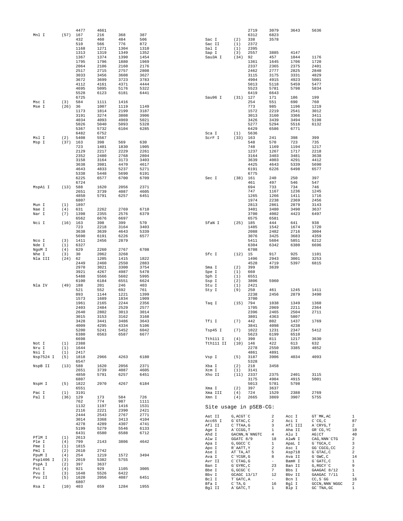|                     |             | 4477         | 4661         |              |              |                        |                           | 2719           | 3079                     | 3643            | 5636                           |                              |
|---------------------|-------------|--------------|--------------|--------------|--------------|------------------------|---------------------------|----------------|--------------------------|-----------------|--------------------------------|------------------------------|
| Mnl I               | $(57)$ 167  |              | 216          | 368          | 387          |                        |                           | 6312           | 6823                     |                 |                                |                              |
|                     |             | 432<br>510   | 460<br>566   | 484<br>776   | 506<br>872   | Sac I<br>Sac II        | (2)<br>(1)                | 338<br>2372    | 3578                     |                 |                                |                              |
|                     |             | 1168         | 1271         | 1304         | 1310         | Sal I                  | (1)                       | 2395           |                          |                 |                                |                              |
|                     |             | 1313         | 1319         | 1349         | 1352         | Sap I                  | (3)                       | 2557           | 3885                     | 4147            |                                |                              |
|                     |             | 1367         | 1374         | 1390         | 1454         | Sau3A I                | (34)                      | 92             | 457                      | 1044            | 1176                           |                              |
|                     |             | 1795         | 1796         | 1880         | 1969         |                        |                           | 1361           | 1645                     | 1706            | 1720                           |                              |
|                     |             | 2064         | 2106         | 2160         | 2176         |                        |                           | 2337           | 2365                     | 2375            | 2401                           |                              |
|                     |             | 2517         | 2715         | 2757         | 2808         |                        |                           | 2462           | 2777                     | 2825            | 2840                           |                              |
|                     |             | 3033         | 3456         | 3608         | 3627         |                        |                           | 3115           | 3175                     | 3331            | 4829                           |                              |
|                     |             | 3672         | 3699         | 3723         | 3783         |                        |                           | 4904           | 4915                     | 4923            | 5001                           |                              |
|                     |             | 4112<br>4695 | 4161<br>5095 | 4371<br>5176 | 4444<br>5322 |                        |                           | 5013           | 5118                     | 5459            | 5477<br>5834                   |                              |
|                     |             | 5528         | 6123         | 6181         | 6441         |                        |                           | 5523<br>6419   | 5781<br>6643             | 5798            |                                |                              |
|                     |             | 6725         |              |              |              | Sau96 I                | (31)                      | 127            | 171                      | 186             | 199                            |                              |
| Msc I               | (3)         | 584          | 1111         | 1416         |              |                        |                           | 254            | 551                      | 690             | 760                            |                              |
| Mse I               | (26)        | 36           | 1007         | 1119         | 1149         |                        |                           | 773            | 985                      | 1196            | 1219                           |                              |
|                     |             | 1173         | 1814         | 2199         | 3187         |                        |                           | 1572           | 2219                     | 2541            | 3012                           |                              |
|                     |             | 3191         | 3274         | 3808         | 3906         |                        |                           | 3013           | 3160                     | 3366            | 3411                           |                              |
|                     |             | 4034         | 4093         | 4969         | 5021         |                        |                           | 3426           | 3439                     | 3494            | 5198                           |                              |
|                     |             | 5026         | 5040         | 5093         | 5328         |                        |                           | 5277           | 5294                     | 5516            | 6132                           |                              |
|                     |             | 5367         | 5732         | 6104         | 6285         |                        |                           | 6429           | 6586                     | 6771            |                                |                              |
|                     |             | 6482         | 6752         |              |              | Sca I                  | (1)                       | 5636           |                          |                 |                                |                              |
| Msl I<br>Msp I      | (2)<br>(37) | 5408<br>163  | 5567<br>398  | 569          | 630          | ScrF I                 | (33)                      | 163<br>548     | 241<br>570               | 398<br>723      | 399<br>735                     |                              |
|                     |             | 723          | 1401         | 1830         | 1905         |                        |                           | 748            | 1169                     | 1194            | 1217                           |                              |
|                     |             | 2129         | 2217         | 2229         | 2261         |                        |                           | 1237           | 1267                     | 1717            | 2218                           |                              |
|                     |             | 2352         | 2480         | 2768         | 2804         |                        |                           | 3164           | 3403                     | 3481            | 3638                           |                              |
|                     |             | 3158         | 3164         | 3173         | 3403         |                        |                           | 3639           | 4003                     | 4291            | 4412                           |                              |
|                     |             | 3638         | 3981         | 4470         | 4617         |                        |                           | 4425           | 4643                     | 5339            | 5690                           |                              |
|                     |             | 4643         | 4833         | 5237         | 5271         |                        |                           | 6191           | 6226                     | 6498            | 6577                           |                              |
|                     |             | 5338         | 5448         | 5690         | 6191         |                        |                           | 6775           |                          |                 |                                |                              |
|                     |             | 6225         | 6577         | 6700         | 6709         | Sec I                  | (38)                      | 161            | 240                      | 250             | 397                            |                              |
|                     |             | 6724         |              |              |              |                        |                           | 461            | 497                      | 546             | 547                            |                              |
| MspAl I             | (13)        | 588          | 1620         | 2056         | 2371         |                        |                           | 694            | 733                      | 734             | 746                            |                              |
|                     |             | 2651<br>4850 | 3739<br>5791 | 4087<br>6257 | 4605<br>6451 |                        |                           | 747<br>1265    | 1167<br>1266             | 1236<br>1411    | 1245<br>1716                   |                              |
|                     |             | 6807         |              |              |              |                        |                           | 1974           | 2238                     | 2369            | 2456                           |                              |
| Mun I               | (1)         | 1897         |              |              |              |                        |                           | 2813           | 2861                     | 2879            | 3143                           |                              |
| Nae I               | (4)         | 631          | 2262         | 2769         | 6710         |                        |                           | 3401           | 3480                     | 3490            | 3637                           |                              |
| Nar I               | (7)         | 1398         | 2355         | 2576         | 6379         |                        |                           | 3700           | 4002                     | 4423            | 6497                           |                              |
|                     |             | 6562         | 6676         | 6697         |              |                        |                           | 6575           | 6581                     |                 |                                |                              |
| Nci I               | (16)        | 163          | 398          | 399          | 570          | SfaN I                 | (25)                      | 185            | 444                      | 641             | 938                            |                              |
|                     |             | 723          | 2218         | 3164         | 3403         |                        |                           | 1485           | 1542                     | 1674            | 1720                           |                              |
|                     |             | 3638         | 3639         | 4643         | 5339         |                        |                           | 2088           | 2482                     | 2716            | 3004                           |                              |
|                     |             | 5690         | 6191         | 6226         | 6577         |                        |                           | 3076           | 3425                     | 3683            | 4359                           |                              |
| Nco I               | (3)         | 1411         | 2456         | 2879         |              |                        |                           | 5411           | 5604                     | 5851            | 6212                           |                              |
| Nde I<br>NgoM I     | (1)<br>(4)  | 6327<br>629  | 2260         | 2767         | 6708         |                        |                           | 6304<br>6708   | 6342                     | 6380            | 6696                           |                              |
| Nhe I               | (3)         | 30           | 2062         | 3268         |              | Sfc I                  | (12)                      | 15             | 917                      | 925             | 1101                           |                              |
| Nla III             | (24)        | 62           | 1205         | 1415         | 1822         |                        |                           | 1496           | 2943                     | 3001            | 3253                           |                              |
|                     |             | 2449         | 2460         | 2550         | 2883         |                        |                           | 4528           | 4719                     | 5397            | 6815                           |                              |
|                     |             | 2970         | 3021         | 3300         | 3754         | Sma I                  | (2)                       | 399            | 3639                     |                 |                                |                              |
|                     |             | 3921         | 4267         | 4987         | 5478         | Spe I                  | (1)                       | 660            |                          |                 |                                |                              |
|                     |             | 5488         | 5566         | 5602         | 5995         | Sph I                  | (1)                       | 6551           |                          |                 |                                |                              |
|                     |             | 6100         | 6184         | 6551         | 6624         | Ssp I                  | (2)                       | 3806           | 5960                     |                 |                                |                              |
| Nla IV              | (49)        | 188          | 201          | 246          | 403          | Stu I                  | (1)                       | 2421           |                          |                 |                                |                              |
|                     |             | 521<br>893   | 552          | 692<br>1221  | 761<br>1399  | Sty I                  | (9)                       | 250<br>2238    | 461<br>2456              | 1245<br>2879    | 1411<br>3490                   |                              |
|                     |             | 1573         | 1144<br>1689 | 1834         | 1909         |                        |                           | 3700           |                          |                 |                                |                              |
|                     |             | 1961         | 2165         | 2244         | 2356         | Taq I                  | (15)                      | 794            | 1038                     | 1349            | 1360                           |                              |
|                     |             | 2403         | 2484         | 2529         | 2577         |                        |                           | 1705           | 2069                     | 2211            | 2364                           |                              |
|                     |             | 2640         | 2802         | 3013         | 3014         |                        |                           | 2396           | 2465                     | 2504            | 2711                           |                              |
|                     |             |              |              |              |              |                        |                           |                |                          |                 |                                |                              |
|                     |             | 3015         | 3153         | 3162         | 3168         |                        |                           | 3801           | 4363                     | 5807            |                                |                              |
|                     |             | 3428         | 3441         | 3486         | 3643         | Tfi I                  | (7)                       | 442            | 802                      | 1437            | 1769                           |                              |
|                     |             | 4009         | 4295         | 4334         | 5106         |                        |                           | 3841           | 4098                     | 4238            |                                |                              |
|                     |             | 5200         | 5241         | 5452         | 6042         | Tsp45 I                | (7)                       | 1022           | 1231                     | 2347            | 5412                           |                              |
|                     |             | 6380         | 6563         | 6587         | 6677         |                        |                           | 5623           | 6199                     | 6510            |                                |                              |
|                     |             | 6698         |              |              |              | Tth111 I               | (4)                       | 390            | 811                      | 1217            | 3630                           |                              |
| Not I<br>Nru I      | (1)<br>(1)  | 2388         |              |              |              | Tth111 II              | (10)                      | 146            | 422                      | 613             | 632                            |                              |
| Nsi I               | (1)         | 1644<br>2417 |              |              |              |                        |                           | 2278<br>4861   | 2550<br>4891             | 3385            | 4852                           |                              |
| Nsp7524 I           | (5)         | 1818         | 2966         | 4263         | 6180         | Vsp I                  | (5)                       | 3187           | 3906                     | 4034            | 4093                           |                              |
|                     |             | 6547         |              |              |              |                        |                           | 5328           |                          |                 |                                |                              |
| NspB II             | (13)        | 588          | 1620         | 2056         | 2371         | Xba I                  | (2)                       | 218            | 3458                     |                 |                                |                              |
|                     |             | 2651         | 3739         | 4087         | 4605         | Xcm I                  | (1)                       | 3141           |                          |                 |                                |                              |
|                     |             | 4850         | 5791         | 6257         | 6451         | Xho II                 | $(11)$ 2337               |                | 2375                     | 2401            | 3115                           |                              |
|                     |             | 6807         |              |              |              |                        |                           | 3175           | 4904                     | 4915            | 5001                           |                              |
| NspH I              | (5)         | 1822         | 2970         | 4267         | 6184         |                        |                           | 5013           | 5781                     | 5798            |                                |                              |
|                     |             | 6551         |              |              |              | Xma I                  | (2)                       | 397            | 3637                     |                 |                                |                              |
| Pac I               | (1)         | 3191         |              |              |              | Xma III                | (4)                       | 724            | 1529                     | 2388            | 2769                           |                              |
| Pal I               | $(36)$ 129  |              | 173          | 584          | 726          | Xmn I                  | (4)                       | 2665           | 3869                     | 3907            | 5755                           |                              |
|                     |             | 762<br>1132  | 774<br>1197  | 987<br>1416  | 1111<br>1531 |                        |                           |                |                          |                 |                                |                              |
|                     |             | 2116         | 2221         | 2390         | 2421         | Site usage in pSEB-CG: |                           |                |                          |                 |                                |                              |
|                     |             | 2444         | 2543         | 2767         | 2771         | Aat II                 | G, ACGT `C                |                | 2                        | Acc I           | GT `MK, AC                     | 1                            |
|                     |             | 3014         | 3368         | 3413         | 4104         | Acc65 I                | G`GTAC, C                 |                | 2                        | Aci I           | $C^{\wedge}CG, C$              | 87                           |
|                     |             | 4278         | 4289         | 4307         | 4741         | Afl II                 | C`TTAA, G                 |                | 3                        | Afl III         | A`CRYG, T                      | 2                            |
|                     |             | 5199         | 5279         | 5546         | 6133         | Age I                  | A CCGG, T                 |                | $\mathbf{1}$             | Aha II          | GR CG, YC                      | 10                           |
|                     |             | 6431         | 6580         | 6588         | 6712         | Ahd I                  |                           | GACNN, N`NNGTC | 4                        | Alu I           | $AG$ $CT$                      | 40                           |
| PflM I              | (1)         | 2613         |              |              |              | Alw I                  | GGATC 8/9                 |                | 18                       | AlwN I          | CAG, NNN CTG                   | $\boldsymbol{2}$             |
| Ple I               | (4)         | 799          | 2143         | 3806         | 4642         | Apa I                  | G, GGCC `C                |                | $\mathbf{1}$             | ApaL I          | G`TGCA, C                      | $\overline{3}$               |
| Pme I               | (1)         | 1815         |              |              |              | Apo I                  | R`AATT, Y                 |                | $\overline{\mathbf{c}}$  | Asc I           | GG`CGCG, CC                    | $\boldsymbol{2}$             |
| Pml I               | (2)<br>(4)  | 2610         | 2742<br>1219 | 1572         | 3494         | Ase I                  | AT`TA, AT                 |                | 5                        | Asp718          | G`GTAC, C                      | 2                            |
| PpuM I<br>Psp1406 I | (3)         | 254<br>2019  | 5382         | 5755         |              | Ava I                  | C`YCGR, G                 |                | 8                        | Ava II          | $G$ $GWC$ , $C$                | 14                           |
| PspA I              | (2)         | 397          | 3637         |              |              | Avr II                 | C`CTAG, G                 |                | $\overline{\phantom{a}}$ | BamH I          | G`GATC, C                      | 1                            |
| Pst I               | (4)         | 921          | 929          | 1105         | 3005         | Ban I                  | G`GYRC, C                 |                | 23<br>7                  | Ban II          | G, RGCY `C                     | 9                            |
| Pvu I               | (3)         | 1648         | 5526         | 6422         |              | Bbe I<br>Bbv I         | G, GCGC `C<br>GCAGC 13/17 |                | 12                       | Bbs I<br>Bbv II | GAAGAC 8/12<br>GAAGAC 7/11     | $\mathbf{1}$<br>$\mathbf{1}$ |
| Pvu II              | (5)         | 1620         | 2056         | 4087         | 6451         | Bcl I                  | T`GATC, A                 |                | $\sim$                   | Bcn I           | $CC, S$ GG                     | 16                           |
| Rsa I               | $(10)$ 403  | 6807         | 659          | 1284         | 1955         | Bfa I<br>Bgl II        | $C^T A$ , G<br>A`GATC, T  |                | 16<br>1                  | Bgl I<br>Blp I  | GCCN, NNN 'NGGC<br>GC `TNA, GC | 2                            |